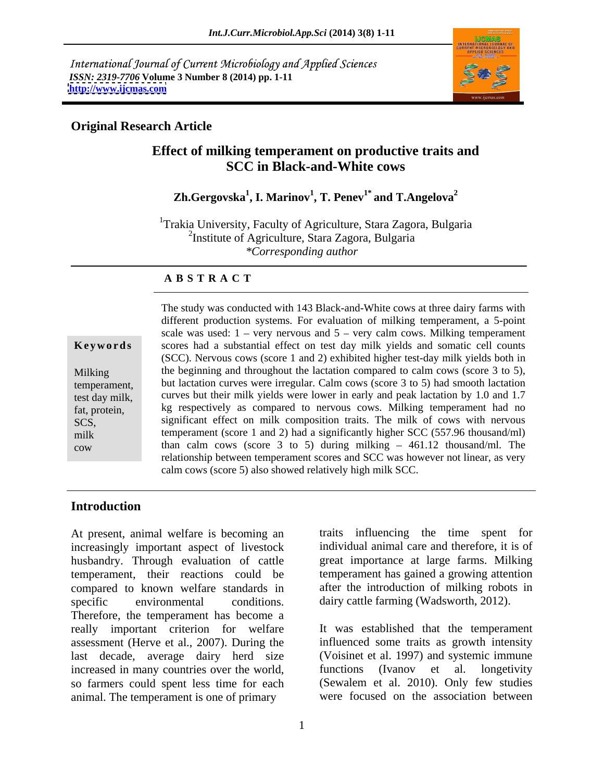International Journal of Current Microbiology and Applied Sciences *ISSN: 2319-7706* **Volume 3 Number 8 (2014) pp. 1-11 <http://www.ijcmas.com>**



# **Original Research Article**

# **Effect of milking temperament on productive traits and SCC in Black-and-White cows**

### **Zh.Gergovska<sup>1</sup> , I. Marinov<sup>1</sup> , . Penev1\*** and T.Angelova<sup>2</sup>

<sup>1</sup>Trakia University, Faculty of Agriculture, Stara Zagora, Bulgaria 2 Institute of Agriculture, Stara Zagora, Bulgaria *\*Corresponding author* 

## **A B S T R A C T**

**Keywords** scores had a substantial effect on test day milk yields and somatic cell counts Milking the beginning and throughout the lactation compared to calm cows (score 3 to 5), temperament, but lactation curves were irregular. Calm cows (score 3 to 5) had smooth lactation test day milk, curves but their milk yields were lower in early and peak lactation by 1.0 and 1.7 fat, protein, kg respectively as compared to nervous cows. Milking temperament had no SCS, significant effect on milk composition traits. The milk of cows with nervous milk temperament (score 1 and 2) had a significantly higher SCC (557.96 thousand/ml) cow than calm cows (score 3 to 5) during milking  $-461.12$  thousand/ml. The The study was conducted with 143 Black-and-White cows at three dairy farms with different production systems. For evaluation of milking temperament, a 5-point scale was used:  $1 - \text{very}$  nervous and  $5 - \text{very}$  calm cows. Milking temperament (SCC). Nervous cows (score 1 and 2) exhibited higher test-day milk yields both in relationship between temperament scores and SCC was however not linear, as very calm cows (score 5) also showed relatively high milk SCC.

# **Introduction**

At present, animal welfare is becoming an increasingly important aspect of livestock husbandry. Through evaluation of cattle temperament, their reactions could be compared to known welfare standards in specific environmental conditions. dairy cattle farming (Wadsworth, 2012). Therefore, the temperament has become a really important criterion for welfare assessment (Herve et al., 2007). During the last decade, average dairy herd size (Voisinet et al. 1997) and systemic immune increased in many countries over the world. (Ivanov et al. longetivity increased in many countries over the world, functions (Ivanov et al. so farmers could spent less time for each animal. The temperament is one of primary

traits influencing the time spent for individual animal care and therefore, it is of great importance at large farms. Milking temperament has gained a growing attention after the introduction of milking robots in

It was established that the temperament influenced some traits as growth intensity (Voisinet et al. 1997) and systemic immune functions (Ivanov et al. longetivity (Sewalem et al. 2010). Only few studies were focused on the association between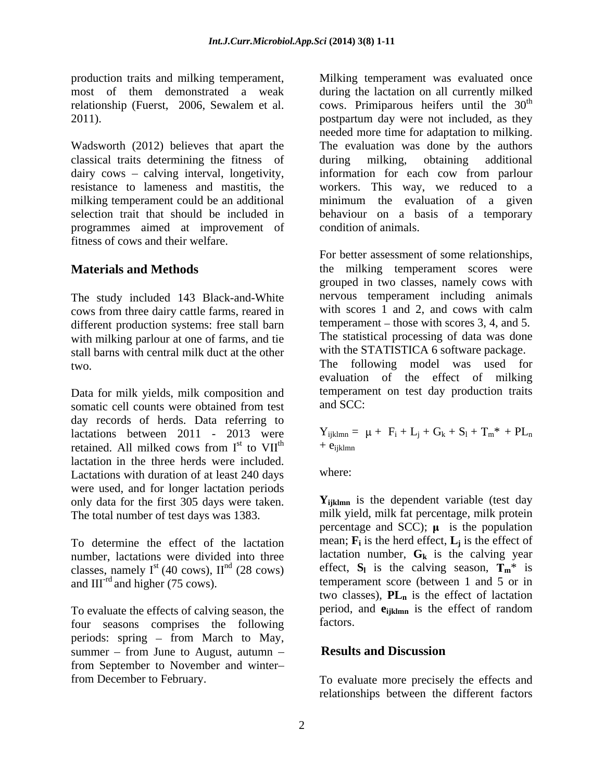Wadsworth (2012) believes that apart the classical traits determining the fitness of dairy cows – calving interval, longetivity, information for each cow from parlour resistance to lameness and mastitis, the workers. This way, we reduced to a milking temperament could be an additional minimum the evaluation of a given selection trait that should be included in behaviour on a basis of a temporary programmes aimed at improvement of fitness of cows and their welfare.

The study included 143 Black-and-White mervous temperament including animals cows from three dairy cattle farms reared in with scores 1 and 2, and cows with calm cows from three dairy cattle farms, reared in different production systems: free stall barn with milking parlour at one of farms, and tie stall barns with central milk duct at the other

Data for milk yields, milk composition and<br>somatic cell counts were obtained from test and SCC: somatic cell counts were obtained from test day records of herds. Data referring to lactations between 2011 - 2013 were<br>retained. All milked cows from  $I<sup>st</sup>$  to  $VII<sup>th</sup>$ retained. All milked cows from  $I^{st}$  to  $VI^{th}$  +  $e_{ijklmn}$ lactation in the three herds were included.<br>Lactations with duration of at least 240 days where: Lactations with duration of at least 240 days were used, and for longer lactation periods only data for the first 305 days were taken. The total number of test days was 1383.

To determine the effect of the lactation number, lactations were divided into three classes, namely  $I^{st}$  (40 cows),  $II^{nd}$  (28 cows)<br>and  $III^{rd}$  and higher (75 cows).

To evaluate the effects of calving season, the period,<br>four seasons comprises the following factors. four seasons comprises the following periods: spring  $-$  from March to May, summer  $-$  from June to August, autumn  $-$  **Results and Discussion** from September to November and winter

production traits and milking temperament, Milking temperament was evaluated once most of them demonstrated a weak during the lactation on all currently milked relationship (Fuerst, 2006, Sewalem et al. cows. Primiparous heifers until the 30<sup>th</sup> postpartum day were not included, as they cows. Primiparous heifers until the  $30<sup>th</sup>$ th postpartum day were not included, as they needed more time for adaptation to milking. The evaluation was done by the authors during milking, obtaining additional condition of animals.

**Materials and Methods the milking temperament scores were** two. The following model was used for For better assessment of some relationships, grouped in two classes, namely cows with nervous temperament including animals with scores 1 and 2, and cows with calm temperament  $-$  those with scores 3, 4, and 5. The statistical processing of data was done with the STATISTICA 6 software package. evaluation of the effect of milking temperament on test day production traits and SCC:

> the  $\mathbf{r}$  +  $\mathbf{e}_{\text{intra}}$  $Y_{ijklmn} = \mu + F_i + L_i + G_k + S_l + T_m^* + PL_n$  $+ e_{ijklmn}$

where:

and III<sup>-rd</sup> and higher (75 cows). temperament score (between 1 and 5 or in **Y**<sub>iiklmn</sub> is the dependent variable (test day milk yield, milk fat percentage, milk protein percentage and SCC);  $\mu$  is the population mean;  $\mathbf{F}_i$  is the herd effect,  $\mathbf{L}_j$  is the effect of is the effect of lactation number,  $G_k$  is the calving year effect,  $S_l$  is the calving season,  $T_m^*$  is two classes),  $PL_n$  is the effect of lactation period, and **eijklmn** is the effect of random factors.

# **Results and Discussion**

from December to February. To evaluate more precisely the effects and relationships between the different factors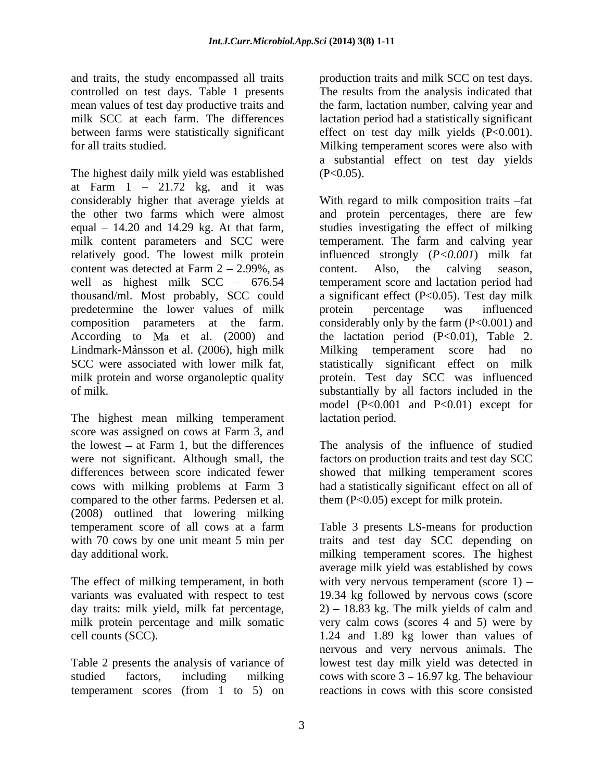and traits, the study encompassed all traits production traits and milk SCC on test days. controlled on test days. Table 1 presents mean values of test day productive traits and the farm, lactation number, calving year and milk SCC at each farm. The differences lactation period had a statistically significant between farms were statistically significant effect on test day milk yields (P<0.001). for all traits studied. Milking temperament scores were also with

The highest daily milk yield was established (P<0.05). at Farm  $1 - 21.72$  kg, and it was content was detected at Farm  $2 - 2.99\%$ , as content. Also, the calving season, predetermine the lower values of milk Lindmark-Månsson et al. (2006), high milk milk protein and worse organoleptic quality

The highest mean milking temperament score was assigned on cows at Farm 3, and the lowest – at Farm 1, but the differences The analysis of the influence of studied were not significant. Although small, the factors on production traits and test day SCC differences between score indicated fewer showed that milking temperament scores cows with milking problems at Farm 3 had a statistically significant effect on all of compared to the other farms. Pedersen et al. (2008) outlined that lowering milking

Table 2 presents the analysis of variance of temperament scores (from 1 to 5) on

The results from the analysis indicated that a substantial effect on test day yields  $(P<0.05)$ .

considerably higher that average yields at With regard to milk composition traits -fat the other two farms which were almost and protein percentages, there are few equal – 14.20 and 14.29 kg. At that farm, studies investigating the effect of milking milk content parameters and SCC were temperament. The farm and calving year relatively good. The lowest milk protein influenced strongly (*P<0.001*) milk fat well as highest milk SCC – 676.54 temperament score and lactation period had thousand/ml. Most probably, SCC could a significant effect (P<0.05). Test day milk composition parameters at the farm. considerably only by the farm (P<0.001) and According to Ma et al. (2000) and the lactation period (P<0.01), Table 2. SCC were associated with lower milk fat, statistically significant effect on milk of milk. substantially by all factors included in the content. Also, the calving season, protein percentage was influenced Milking temperament score had no protein. Test day SCC was influenced model (P<0.001 and P<0.01) except for lactation period.

them (P<0.05) except for milk protein.

temperament score of all cows at a farm Table 3 presents LS-means for production with 70 cows by one unit meant 5 min per traits and test day SCC depending on day additional work.<br>
The effect of milking temperament, in both<br>
The effect of milking temperament, in both<br>
The effect of milking temperament, in both<br>
With very nervous temperament (score 1) – variants was evaluated with respect to test 19.34 kg followed by nervous cows (score day traits: milk yield, milk fat percentage, 2) 18.83 kg. The milk yields of calm and milk protein percentage and milk somatic very calm cows (scores 4 and 5) were by cell counts (SCC). 1.24 and 1.89 kg lower than values of studied factors, including milking cows with score 3 – 16.97 kg. The behaviour milking temperament scores. The highest average milk yield was established by cows with very nervous temperament (score  $1$ ) – nervous and very nervous animals. The lowest test day milk yield was detected in reactions in cows with this score consisted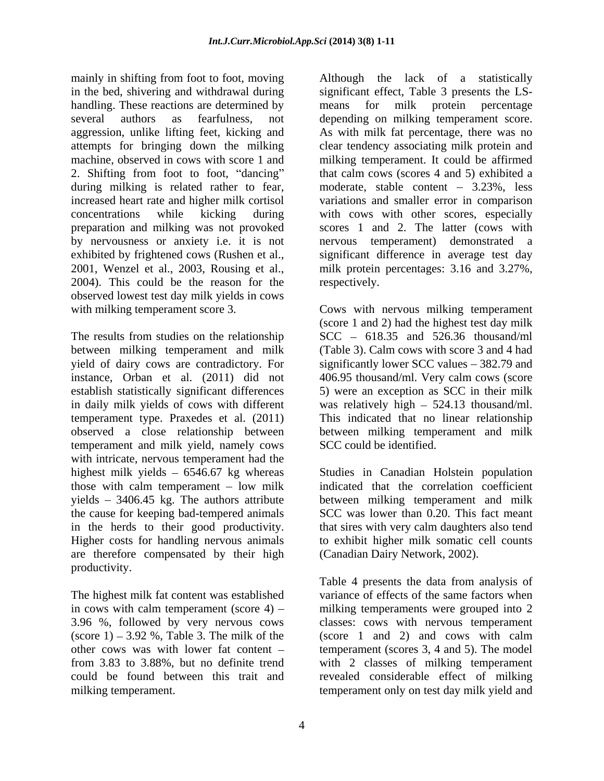mainly in shifting from foot to foot, moving Although the lack of a statistically in the bed, shivering and withdrawal during significant effect, Table 3 presents the LS handling. These reactions are determined by means for milk protein percentage several authors as fearfulness, not depending on milking temperament score. aggression, unlike lifting feet, kicking and As with milk fat percentage, there was no attempts for bringing down the milking clear tendency associating milk protein and machine, observed in cows with score 1 and milking temperament. It could be affirmed 2. Shifting from foot to foot, "dancing" during milking is related rather to fear, moderate, stable content - 3.23%, less increased heart rate and higher milk cortisol variations and smaller error in comparison concentrations while kicking during with cows with other scores, especially preparation and milking was not provoked by nervousness or anxiety i.e. it is not nervous temperament) demonstrated a exhibited by frightened cows (Rushen et al., a significant difference in average test day 2001, Wenzel et al., 2003, Rousing et al., a milk protein percentages: 3.16 and 3.27%, 2004). This could be the reason for the respe observed lowest test day milk yields in cows

The results from studies on the relationship between milking temperament and milk (Table 3). Calm cows with score 3 and 4 had yield of dairy cows are contradictory. For significantly lower SCC values – 382.79 and instance, Orban et al. (2011) did not 406.95 thousand/ml. Very calm cows (score establish statistically significant differences 5) were an exception as SCC in their milk in daily milk yields of cows with different was relatively high 524.13 thousand/ml. temperament type. Praxedes et al. (2011) This indicated that no linear relationship observed a close relationship between between milking temperament and milk temperament and milk yield, namely cows with intricate, nervous temperament had the highest milk yields 6546.67 kg whereas Studies in Canadian Holstein population those with calm temperament – low milk indicated that the correlation coefficient yields 3406.45 kg. The authors attribute between milking temperament and milk the cause for keeping bad-tempered animals in the herds to their good productivity. that sires with very calm daughters also tend Higher costs for handling nervous animals to exhibit higher milk somatic cell counts are therefore compensated by their high productivity.

in cows with calm temperament (score  $4$ ) – 3.96 %, followed by very nervous cows

means for milk protein percentage that calm cows (scores 4 and 5) exhibited a scores 1 and 2. The latter (cows with significant difference in average test day milk protein percentages: 3.16 and 3.27%, respectively.

with milking temperament score 3. Cows with nervous milking temperament (score 1 and 2) had the highest test day milk  $SCC - 618.35$  and 526.36 thousand/ml SCC could be identified.

> SCC was lower than 0.20. This fact meant (Canadian Dairy Network, 2002).

The highest milk fat content was established variance of effects of the same factors when  $(\text{score } 1) - 3.92 \text{ %}, \text{Table 3. The milk of the } (\text{score } 1 \text{ and } 2) \text{ and cows with calm }$ other cows was with lower fat content  $-$  temperament (scores 3, 4 and 5). The model from 3.83 to 3.88%, but no definite trend with 2 classes of milking temperament could be found between this trait and revealed considerable effect of milking milking temperament. temperament only on test day milk yield andTable 4 presents the data from analysis of milking temperaments were grouped into 2 classes: cows with nervous temperament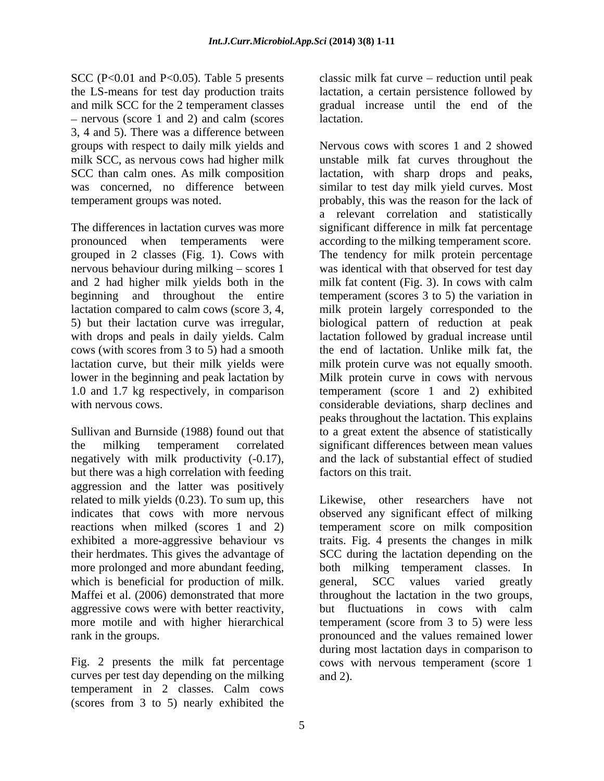- nervous (score 1 and 2) and calm (scores lactation. 3, 4 and 5). There was a difference between groups with respect to daily milk yields and milk SCC, as nervous cows had higher milk

grouped in 2 classes (Fig. 1). Cows with nervous behaviour during milking  $-$  scores 1

negatively with milk productivity (-0.17), but there was a high correlation with feeding aggression and the latter was positively related to milk yields (0.23). To sum up, this their herdmates. This gives the advantage of which is beneficial for production of milk. eeneral, SCC values varied greatly aggressive cows were with better reactivity, but fluctuations in cows with calm

curves per test day depending on the milking temperament in 2 classes. Calm cows (scores from 3 to 5) nearly exhibited the

SCC (P<0.01 and P<0.05). Table 5 presents classic milk fat curve – reduction until peak the LS-means for test day production traits lactation, a certain persistence followed by and milk SCC for the 2 temperament classes gradual increase until the end of the lactation.

SCC than calm ones. As milk composition lactation, with sharp drops and peaks, was concerned, no difference between similar to test day milk yield curves. Most temperament groups was noted.<br>
The differences in lactation curves was more<br>
The differences in lactation curves was more<br>
The difference in milk fat percentage pronounced when temperaments were according to the milking temperament score. and 2 had higher milk yields both in the milk fat content (Fig. 3). In cows with calm beginning and throughout the entire temperament (scores 3 to 5) the variation in lactation compared to calm cows (score 3, 4, milk protein largely corresponded to the 5) but their lactation curve was irregular, biological pattern of reduction at peak with drops and peals in daily yields. Calm lactation followed by gradual increase until cows (with scores from 3 to 5) had a smooth the end of lactation. Unlike milk fat, the lactation curve, but their milk yields were milk protein curve was not equally smooth. lower in the beginning and peak lactation by Milk protein curve in cows with nervous 1.0 and 1.7 kg respectively, in comparison temperament (score 1 and 2) exhibited with nervous cows. Considerable deviations, sharp declines and  $\alpha$ Sullivan and Burnside (1988) found out that to a great extent the absence of statistically the milking temperament correlated significant differences between mean values Nervous cows with scores 1 and 2 showed unstable milk fat curves throughout the probably, this was the reason for the lack of a relevant correlation and statistically significant difference in milk fat percentage The tendency for milk protein percentage was identical with that observed for test day peaks throughout the lactation. This explains and the lack of substantial effect of studied factors on this trait.

related to milk yields (0.23). To sum up, this Likewise, other researchers have not indicates that cows with more nervous observed any significant effect of milking reactions when milked (scores 1 and 2) temperament score on milk composition exhibited a more-aggressive behaviour vs traits. Fig. 4 presents the changes in milk more prolonged and more abundant feeding, both milking temperament classes. In Maffei et al. (2006) demonstrated that more throughout the lactation in the two groups, more motile and with higher hierarchical temperament (score from 3 to 5) were less rank in the groups. pronounced and the values remained lower Fig. 2 presents the milk fat percentage cows with nervous temperament (score 1 SCC during the lactation depending on the general, SCC values varied greatly but fluctuations in cows with calm during most lactation days in comparison to and 2).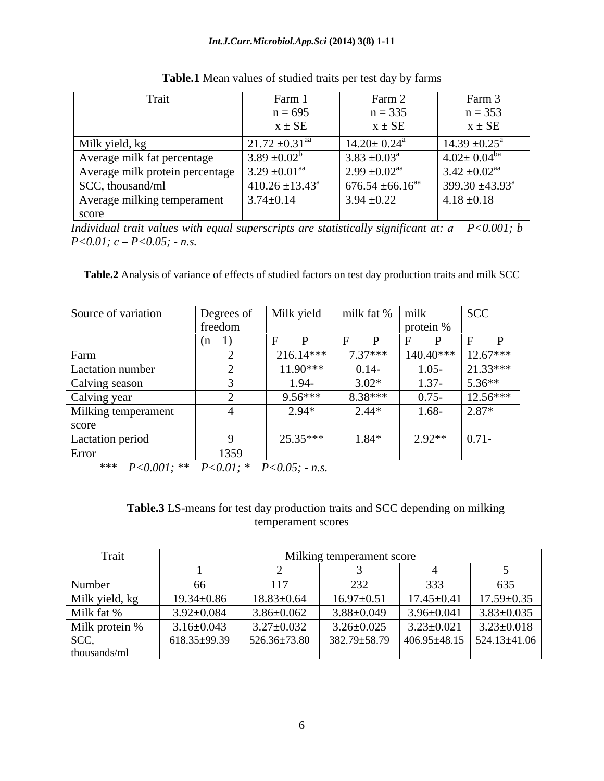| Trait                                                     | Farm                              | Farm 2                           | Farm 3                        |
|-----------------------------------------------------------|-----------------------------------|----------------------------------|-------------------------------|
|                                                           | $\sim$ $\sim$ $\sim$<br>$n = 695$ | $n = 335$                        | $n = 353$                     |
|                                                           | $\sim$ $\sim$<br>$X \pm SE$       | $x \pm SE$                       | $x \pm SE$                    |
| Milk yield, kg                                            | $21.72 \pm 0.31$ <sup>aa</sup>    | $14.20 \pm 0.24$ <sup>a</sup>    | $14.39 \pm 0.25^{\text{a}}$   |
| Average milk fat percentage                               | $3.89 \pm 0.02^b$                 | $3.83 \pm 0.03^{\circ}$          | $4.02 \pm 0.04$ <sup>ba</sup> |
| Average milk protein percentage $\int 3.29 \pm 0.01^{aa}$ |                                   | $2.99 \pm 0.02$ <sup>aa</sup>    | $3.42 \pm 0.02$ <sup>aa</sup> |
| SCC, thousand/ml                                          | $410.26 \pm 13.43^a$              | $676.54 \pm 66.16$ <sup>aa</sup> | $399.30 \pm 43.93^{\circ}$    |
| Average milking temperament                               | $3.74 \pm 0.14$                   | $3.94 \pm 0.22$                  | $4.18 \pm 0.18$               |
| score                                                     |                                   |                                  |                               |

**Table.1** Mean values of studied traits per test day by farms

*Individual trait values with equal superscripts are statistically significant at:*  $a - P < 0.001$ ;  $b -$ *P<0.01; c P<0.05; - n.s.*

**Table.2** Analysis of variance of effects of studied factors on test day production traits and milk SCC

| Source of variation | Degrees of | Milk yield          | milk fat % milk |             | SCC        |
|---------------------|------------|---------------------|-----------------|-------------|------------|
|                     | freedom    |                     |                 | protein %   |            |
|                     | $(n-1)$    |                     |                 |             |            |
| Farm                |            | 216.14***           | $7.37***$       | $140.40***$ | $12.67***$ |
| Lactation number    |            | 11.90***            | $0.14-$         | $1.05 -$    | $1.33***$  |
| Calving season      |            | $1.94 -$            | $3.02*$         | $1.37 -$    | $5.36**$   |
| Calving year        |            | $9.56***$           | $8.38***$       | $0.75 -$    | 12.56***   |
| Milking temperament |            | $2.94*$<br><u>_</u> | $2.44*$         | $1.68 -$    | $2.87*$    |
| score               |            |                     |                 |             |            |
| Lactation period    |            | $25.35***$          | $1.84*$         | $2.92**$    | $ 0.71 -$  |
| Error               | 1359       |                     |                 |             |            |

*\*\*\* P<0.001; \*\* P<0.01; \* P<0.05; - n.s.*

| Table.<br><br>ı mılkıng<br>t day production traits and SC<br>depending<br>s for<br>$\rho$ et<br>$\Omega$<br>$\cdots$ |  |
|----------------------------------------------------------------------------------------------------------------------|--|
| perament score:<br>empe<br><b>BUULU</b>                                                                              |  |

| Trait                        |                  |                  | Milking temperament score                                 |                  |                      |
|------------------------------|------------------|------------------|-----------------------------------------------------------|------------------|----------------------|
|                              |                  |                  |                                                           |                  |                      |
| Number                       |                  |                  | ⊿ب∠                                                       | <u>-</u>         | $\sim$ $\sim$ $\sim$ |
| Milk yield, kg<br>Milk fat % | $19.34 \pm 0.86$ | $18.83 \pm 0.64$ | $16.97 \pm 0.51$                                          | $17.45 \pm 0.41$ | $17.59 \pm 0.35$     |
|                              | $3.92 \pm 0.084$ | $3.86 \pm 0.062$ | $3.88 \pm 0.049$                                          | $3.96 \pm 0.041$ | $3.83 \pm 0.035$     |
| Milk protein %               | $3.16 \pm 0.043$ | $3.27 \pm 0.032$ | $3.26 \pm 0.025$                                          | $3.23 \pm 0.021$ | $3.23 \pm 0.018$     |
| SCC,                         | 618.35±99.39     | 526.36±73.80     | $382.79 \pm 58.79$ $ 406.95 \pm 48.15$ $524.13 \pm 41.06$ |                  |                      |
| thousands/ml                 |                  |                  |                                                           |                  |                      |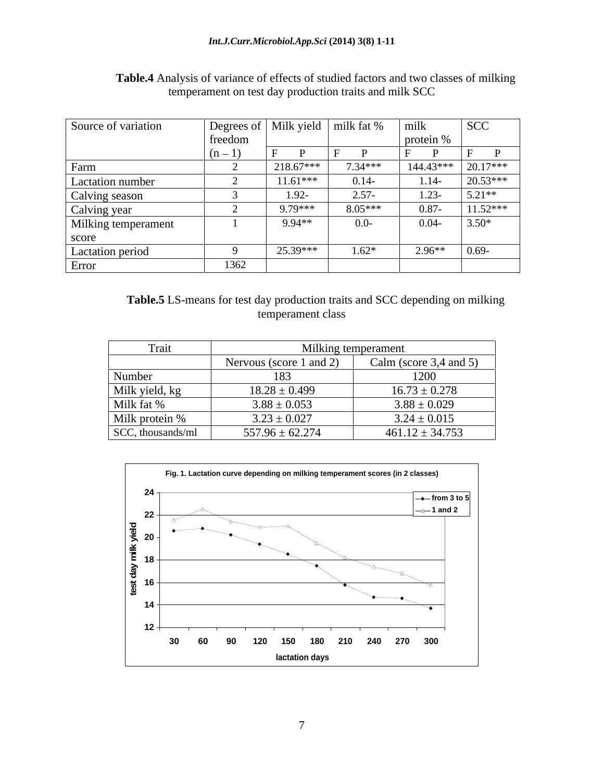| Source of variation |         | Degrees of   Milk yield   milk fat % |           | milk      | SCC        |
|---------------------|---------|--------------------------------------|-----------|-----------|------------|
|                     | freedom |                                      |           | protein % |            |
|                     | $(n-1)$ |                                      |           |           |            |
| Farm                |         | 218.67***                            | $7.34***$ | 144.43*** | $20.17***$ |
| Lactation number    |         | $11.61***$                           | $0.14-$   | $1.14-$   | $20.53***$ |
| Calving season      |         | $1.92 -$                             | $2.57 -$  | $1.23-$   | $5.21**$   |
| Calving year        |         | 9.79***                              | $8.05***$ | $0.87 -$  | $11.52***$ |
| Milking temperament |         | 9.94**                               | $0.0 -$   | $0.04 -$  | $3.50*$    |
| score               |         |                                      |           |           |            |
| Lactation period    |         | 25.39***                             | $1.62*$   | $2.96**$  | $0.69 -$   |
| Error               | 1362    |                                      |           |           |            |

**Table.4** Analysis of variance of effects of studied factors and two classes of milking temperament on test day production traits and milk SCC

| Table.5<br>$\bullet$ - $\bullet$<br>$\sim$ $\sim$<br>$\sim$ depending on m <sup>1</sup><br>day prod<br>duction trail.<br>LS-means for test<br>$\sim$ is and SUC.<br>.nılkıng |  |
|------------------------------------------------------------------------------------------------------------------------------------------------------------------------------|--|
| temperament class                                                                                                                                                            |  |

| riail             | Milking temperament     |                            |
|-------------------|-------------------------|----------------------------|
|                   | Nervous (score 1 and 2) | Calm (score $3,4$ and $5)$ |
| Number            |                         | 1200                       |
| Milk yield, kg    | $18.28 \pm 0.499$       | $16.73 \pm 0.278$          |
| Milk fat %        | $3.88 \pm 0.053$        | $3.88 \pm 0.029$           |
| Milk protein %    | $3.23 \pm 0.027$        | $3.24 \pm 0.015$           |
| SCC, thousands/ml | $557.96 \pm 62.274$     | $461.12 \pm 34.753$        |

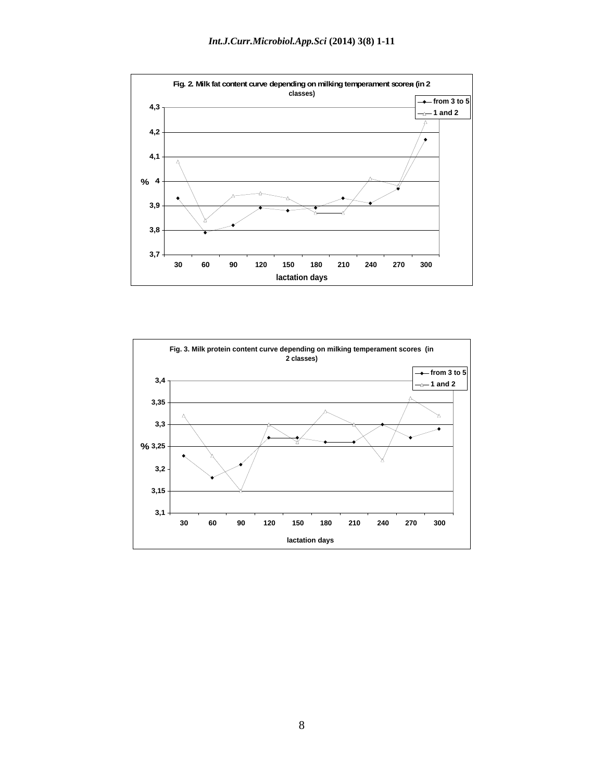

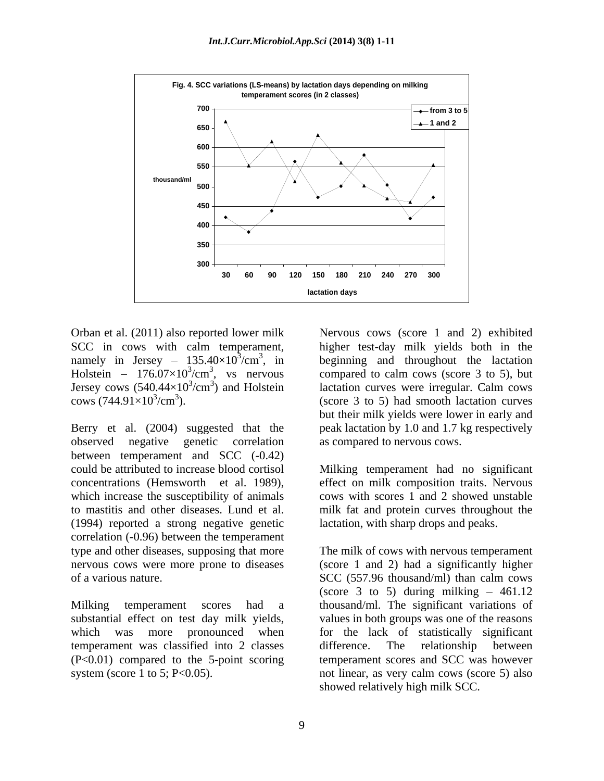

Jersey cows  $(540.44\times10^{3}/\text{cm}^{3})$  and Holstein

Berry et al. (2004) suggested that the peak lactation by 1.0 and 1.7 kg respectively observed negative genetic correlation as compared to nervous cows. between temperament and SCC (-0.42) could be attributed to increase blood cortisol Milking temperament had no significant concentrations (Hemsworth et al. 1989), effect on milk composition traits. Nervous which increase the susceptibility of animals cows with scores 1 and 2 showed unstable to mastitis and other diseases. Lund et al. milk fat and protein curves throughout the (1994) reported a strong negative genetic correlation (-0.96) between the temperament type and other diseases, supposing that more The milk of cows with nervous temperament of a various nature. SCC (557.96 thousand/ml) than calm cows

temperament was classified into 2 classes difference. The relationship between (P<0.01) compared to the 5-point scoring

Orban et al. (2011) also reported lower milk Nervous cows (score 1 and 2) exhibited SCC in cows with calm temperament, higher test-day milk yields both in the namely in Jersey –  $135.40 \times 10^3$ /cm<sup>3</sup>, in beginning and throughout the lactation Holstein –  $176.07 \times 10^{3}/\text{cm}^{3}$ , vs nervous compared to calm cows (score 3 to 5), but  $/cm<sup>3</sup>$ ) and Holstein lactation curves were irregular. Calm cows  $\frac{\text{cows}}{744.91 \times 10^3 \text{cm}^3}$ . (score 3 to 5) had smooth lactation curves lactation curves were irregular. Calm cows but their milk yields were lower in early and as compared to nervous cows.

> effect on milk composition traits. Nervous cows with scores 1 and 2 showed unstable lactation, with sharp drops and peaks.

nervous cows were more prone to diseases (score 1 and 2) had a significantly higher Milking temperament scores had a thousand/ml. The significant variations of substantial effect on test day milk yields, values in both groups was one of the reasons which was more pronounced when for the lack of statistically significant system (score 1 to 5; P<0.05). not linear, as very calm cows (score 5) also SCC (557.96 thousand/ml) than calm cows (score 3 to 5) during milking  $-461.12$ difference. The relationship between temperament scores and SCC was however showed relatively high milk SCC.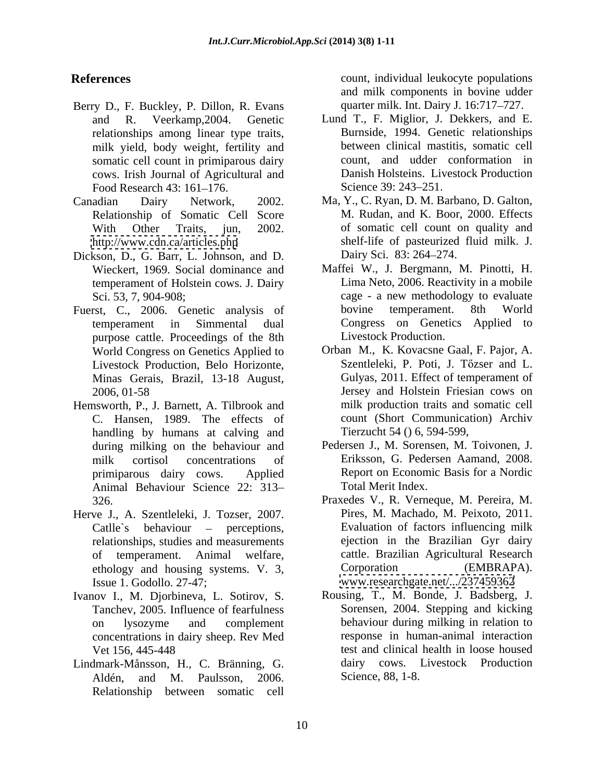- Berry D., F. Buckley, P. Dillon, R. Evans relationships among linear type traits, milk yield, body weight, fertility and somatic cell count in primiparous dairy cows. Irish Journal of Agricultural and Food Research 43: 161–176. Science 39: 243–251.
- Relationship of Somatic Cell Score
- Dickson, D., G. Barr, L. Johnson, and D. Dairy Sci. 83: 264–274. temperament of Holstein cows. J. Dairy<br>Sci. 53, 7, 904-908;
- purpose cattle. Proceedings of the 8th Livestock Production, Belo Horizonte, Minas Gerais, Brazil, 13-18 August,
- Hemsworth, P., J. Barnett, A. Tilbrook and handling by humans at calving and Animal Behaviour Science 22: 313
- Herve J., A. Szentleleki, J. Tozser, 2007. Catlle's behaviour – perceptions, relationships, studies and measurements of temperament. Animal welfare, Issue 1. Godollo. 27-47; [www.researchgate.net/.../237459362](http://www.researchgate.net/.../237459362)
- Ivanov I., M. Djorbineva, L. Sotirov, S. Tanchev, 2005. Influence of fearfulness concentrations in dairy sheep. Rev Med
- Lindmark-Månsson, H., C. Bränning, G. Aldén, and M. Paulsson, 2006. Relationship between somatic cell

**References Count**, individual leukocyte populations and milk components in bovine udder quarter milk. Int. Dairy J. 16:717–727.

- and R. Veerkamp,2004. Genetic Lund T., F. Miglior, J. Dekkers, and E. Burnside, 1994. Genetic relationships between clinical mastitis, somatic cell count, and udder conformation in Danish Holsteins. Livestock Production Science 39: 243–251.
- Canadian Dairy Network, 2002. Ma, Y., C. Ryan, D. M. Barbano, D. Galton, With Other Traits, jun, 2002. of somatic cell count on quality and <http://www.cdn.ca/articles.php> shelf-life of pasteurized fluid milk. J. M. Rudan, and K. Boor, 2000. Effects Dairy Sci. 83: 264–274.
- Wieckert, 1969. Social dominance and Maffei W., J. Bergmann, M. Pinotti, H. Sci. 53, 7, 904-908; cage - a new methodology to evaluate Fuerst, C., 2006. Genetic analysis of bovine temperament. 8th World temperament in Simmental dual Congress on Genetics Applied to Lima Neto, 2006. Reactivity in a mobile bovine temperament. 8th World Livestock Production.
	- World Congress on Genetics Applied to Orban M., K. Kovacsne Gaal, F. Pajor, A. 2006, 01-58 Jersey and Holstein Friesian cows on C. Hansen, 1989. The effects of count (Short Communication) Archiv Szentleleki, P. Poti, J. Tőzser and L. Gulyas, 2011. Effect of temperament of milk production traits and somatic cell Tierzucht 54 () 6, 594-599,
	- during milking on the behaviour and Pedersen J., M. Sorensen, M. Toivonen, J. milk cortisol concentrations of Eriksson, G. Pedersen Aamand, 2008. primiparous dairy cows. Applied Report on Economic Basis for a Nordic Total Merit Index.
	- 326. Praxedes V., R. Verneque, M. Pereira, M. ethology and housing systems. V. 3, Corporation (EMBRAPA). Pires, M. Machado, M. Peixoto, 2011. Evaluation of factors influencing milk ejection in the Brazilian Gyr dairy cattle. Brazilian Agricultural Research Corporation (EMBRAPA).
	- on lysozyme and complement behaviour during milking in relation to Vet 156, 445-448 test and clinical health in loose housed Rousing, T., M. Bonde, J. Badsberg, J. Sorensen, 2004. Stepping and kicking response in human-animal interaction dairy cows. Livestock Production Science, 88, 1-8.